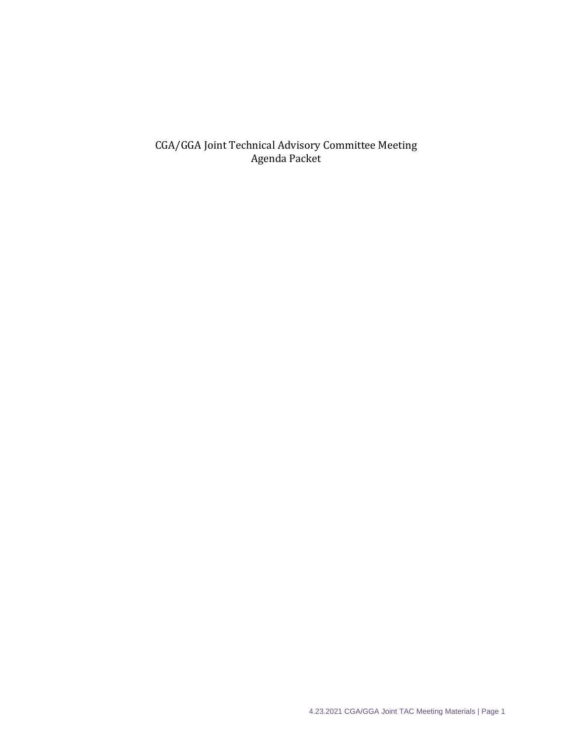CGA/GGA Joint Technical Advisory Committee Meeting Agenda Packet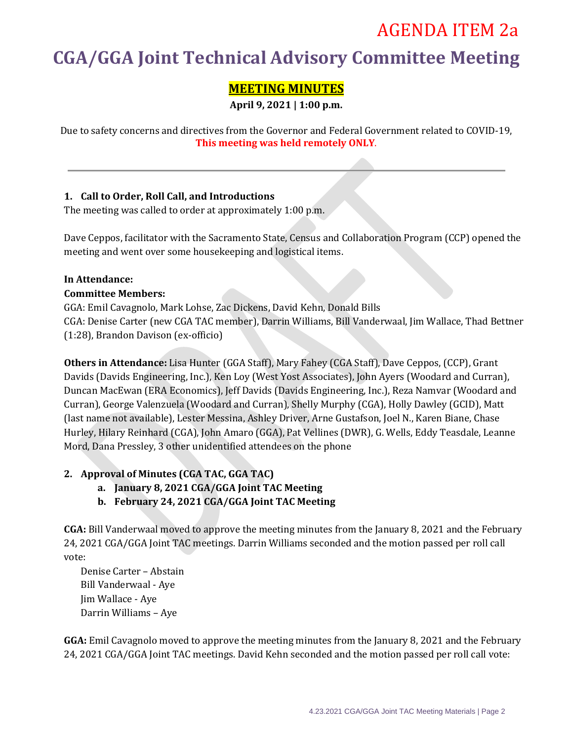## AGENDA ITEM 2a

# **CGA/GGA Joint Technical Advisory Committee Meeting**

## **MEETING MINUTES**

**April 9, 2021 | 1:00 p.m.**

Due to safety concerns and directives from the Governor and Federal Government related to COVID-19, **This meeting was held remotely ONLY**.

## **1. Call to Order, Roll Call, and Introductions**

The meeting was called to order at approximately 1:00 p.m.

Dave Ceppos, facilitator with the Sacramento State, Census and Collaboration Program (CCP) opened the meeting and went over some housekeeping and logistical items.

## **In Attendance:**

## **Committee Members:**

GGA: Emil Cavagnolo, Mark Lohse, Zac Dickens, David Kehn, Donald Bills CGA: Denise Carter (new CGA TAC member), Darrin Williams, Bill Vanderwaal, Jim Wallace, Thad Bettner (1:28), Brandon Davison (ex-officio)

**Others in Attendance:** Lisa Hunter (GGA Staff), Mary Fahey (CGA Staff), Dave Ceppos, (CCP), Grant Davids (Davids Engineering, Inc.), Ken Loy (West Yost Associates), John Ayers (Woodard and Curran), Duncan MacEwan (ERA Economics), Jeff Davids (Davids Engineering, Inc.), Reza Namvar (Woodard and Curran), George Valenzuela (Woodard and Curran), Shelly Murphy (CGA), Holly Dawley (GCID), Matt (last name not available), Lester Messina, Ashley Driver, Arne Gustafson, Joel N., Karen Biane, Chase Hurley, Hilary Reinhard (CGA), John Amaro (GGA), Pat Vellines (DWR), G. Wells, Eddy Teasdale, Leanne Mord, Dana Pressley, 3 other unidentified attendees on the phone

## **2. Approval of Minutes (CGA TAC, GGA TAC)**

- **a. January 8, 2021 CGA/GGA Joint TAC Meeting**
- **b. February 24, 2021 CGA/GGA Joint TAC Meeting**

**CGA:** Bill Vanderwaal moved to approve the meeting minutes from the January 8, 2021 and the February 24, 2021 CGA/GGA Joint TAC meetings. Darrin Williams seconded and the motion passed per roll call vote:

Denise Carter – Abstain Bill Vanderwaal - Aye Jim Wallace - Aye Darrin Williams – Aye

**GGA:** Emil Cavagnolo moved to approve the meeting minutes from the January 8, 2021 and the February 24, 2021 CGA/GGA Joint TAC meetings. David Kehn seconded and the motion passed per roll call vote: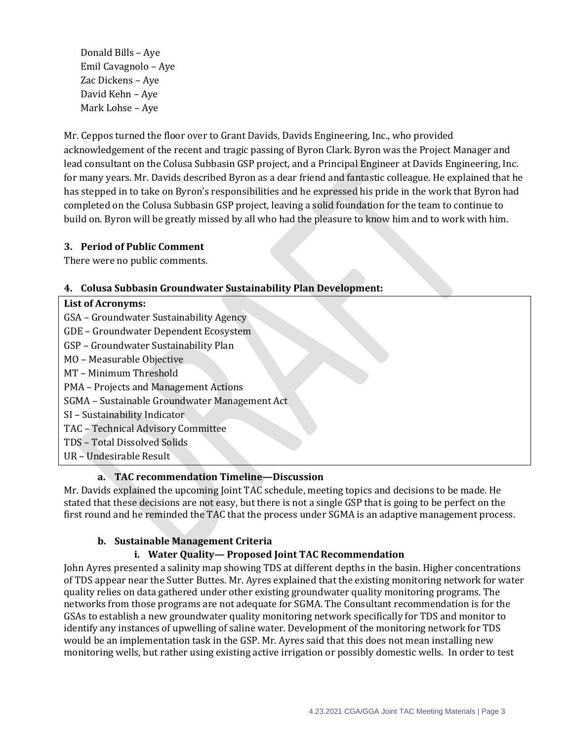Donald Bills – Aye Emil Cavagnolo – Aye Zac Dickens – Aye David Kehn – Aye Mark Lohse – Aye

Mr. Ceppos turned the floor over to Grant Davids, Davids Engineering, Inc., who provided acknowledgement of the recent and tragic passing of Byron Clark. Byron was the Project Manager and lead consultant on the Colusa Subbasin GSP project, and a Principal Engineer at Davids Engineering, Inc. for many years. Mr. Davids described Byron as a dear friend and fantastic colleague. He explained that he has stepped in to take on Byron's responsibilities and he expressed his pride in the work that Byron had completed on the Colusa Subbasin GSP project, leaving a solid foundation for the team to continue to build on. Byron will be greatly missed by all who had the pleasure to know him and to work with him.

## **3. Period of Public Comment**

There were no public comments.

## **4. Colusa Subbasin Groundwater Sustainability Plan Development:**

| <b>List of Acronyms:</b>                      |
|-----------------------------------------------|
| GSA - Groundwater Sustainability Agency       |
| GDE - Groundwater Dependent Ecosystem         |
| GSP - Groundwater Sustainability Plan         |
| MO - Measurable Objective                     |
| MT - Minimum Threshold                        |
| PMA - Projects and Management Actions         |
| SGMA - Sustainable Groundwater Management Act |
| SI - Sustainability Indicator                 |
| TAC - Technical Advisory Committee            |
| TDS - Total Dissolved Solids                  |
| UR - Undesirable Result                       |

## **a. TAC recommendation Timeline—Discussion**

Mr. Davids explained the upcoming Joint TAC schedule, meeting topics and decisions to be made. He stated that these decisions are not easy, but there is not a single GSP that is going to be perfect on the first round and he reminded the TAC that the process under SGMA is an adaptive management process.

## **b. Sustainable Management Criteria**

## **i. Water Quality— Proposed Joint TAC Recommendation**

John Ayres presented a salinity map showing TDS at different depths in the basin. Higher concentrations of TDS appear near the Sutter Buttes. Mr. Ayres explained that the existing monitoring network for water quality relies on data gathered under other existing groundwater quality monitoring programs. The networks from those programs are not adequate for SGMA. The Consultant recommendation is for the GSAs to establish a new groundwater quality monitoring network specifically for TDS and monitor to identify any instances of upwelling of saline water. Development of the monitoring network for TDS would be an implementation task in the GSP. Mr. Ayres said that this does not mean installing new monitoring wells, but rather using existing active irrigation or possibly domestic wells. In order to test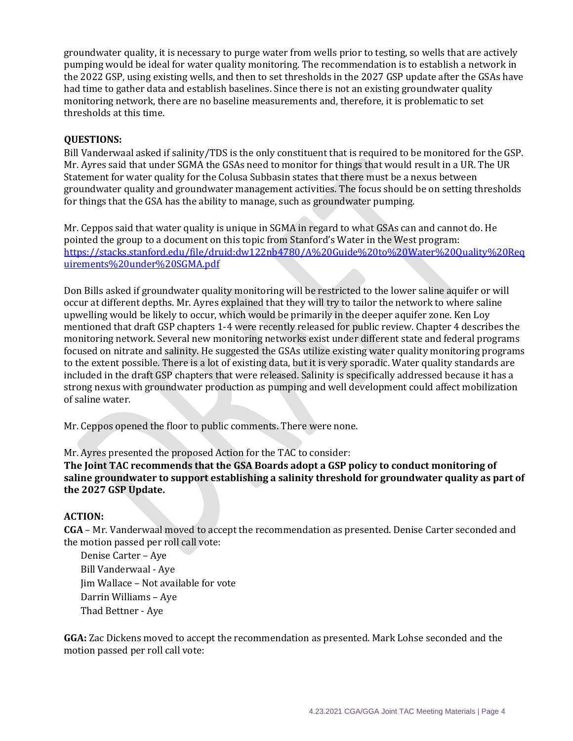groundwater quality, it is necessary to purge water from wells prior to testing, so wells that are actively pumping would be ideal for water quality monitoring. The recommendation is to establish a network in the 2022 GSP, using existing wells, and then to set thresholds in the 2027 GSP update after the GSAs have had time to gather data and establish baselines. Since there is not an existing groundwater quality monitoring network, there are no baseline measurements and, therefore, it is problematic to set thresholds at this time.

## **QUESTIONS:**

Bill Vanderwaal asked if salinity/TDS is the only constituent that is required to be monitored for the GSP. Mr. Ayres said that under SGMA the GSAs need to monitor for things that would result in a UR. The UR Statement for water quality for the Colusa Subbasin states that there must be a nexus between groundwater quality and groundwater management activities. The focus should be on setting thresholds for things that the GSA has the ability to manage, such as groundwater pumping.

Mr. Ceppos said that water quality is unique in SGMA in regard to what GSAs can and cannot do. He pointed the group to a document on this topic from Stanford's Water in the West program: [https://stacks.stanford.edu/file/druid:dw122nb4780/A%20Guide%20to%20Water%20Quality%20Req](https://stacks.stanford.edu/file/druid:dw122nb4780/A%20Guide%20to%20Water%20Quality%20Requirements%20under%20SGMA.pdf) [uirements%20under%20SGMA.pdf](https://stacks.stanford.edu/file/druid:dw122nb4780/A%20Guide%20to%20Water%20Quality%20Requirements%20under%20SGMA.pdf)

Don Bills asked if groundwater quality monitoring will be restricted to the lower saline aquifer or will occur at different depths. Mr. Ayres explained that they will try to tailor the network to where saline upwelling would be likely to occur, which would be primarily in the deeper aquifer zone. Ken Loy mentioned that draft GSP chapters 1-4 were recently released for public review. Chapter 4 describes the monitoring network. Several new monitoring networks exist under different state and federal programs focused on nitrate and salinity. He suggested the GSAs utilize existing water quality monitoring programs to the extent possible. There is a lot of existing data, but it is very sporadic. Water quality standards are included in the draft GSP chapters that were released. Salinity is specifically addressed because it has a strong nexus with groundwater production as pumping and well development could affect mobilization of saline water.

Mr. Ceppos opened the floor to public comments. There were none.

Mr. Ayres presented the proposed Action for the TAC to consider:

**The Joint TAC recommends that the GSA Boards adopt a GSP policy to conduct monitoring of saline groundwater to support establishing a salinity threshold for groundwater quality as part of the 2027 GSP Update.**

## **ACTION:**

**CGA** – Mr. Vanderwaal moved to accept the recommendation as presented. Denise Carter seconded and the motion passed per roll call vote:

Denise Carter – Aye Bill Vanderwaal - Aye Jim Wallace – Not available for vote Darrin Williams – Aye Thad Bettner - Aye

**GGA:** Zac Dickens moved to accept the recommendation as presented. Mark Lohse seconded and the motion passed per roll call vote: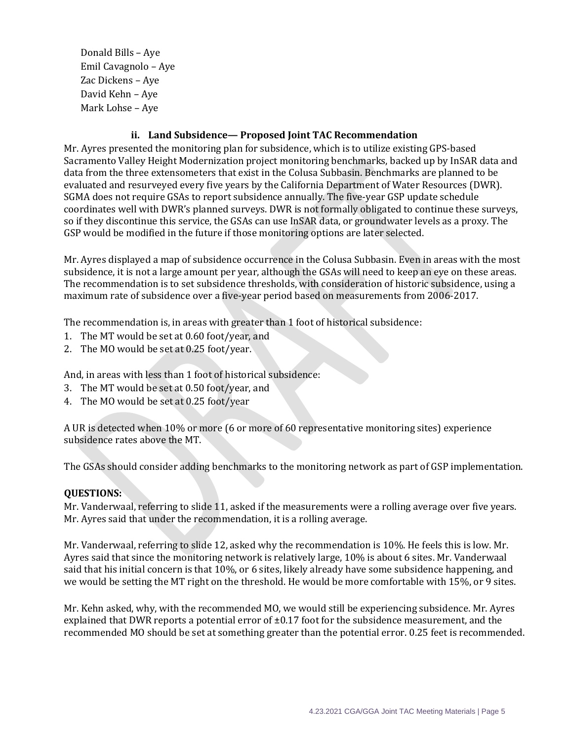Donald Bills – Aye Emil Cavagnolo – Aye Zac Dickens – Aye David Kehn – Aye Mark Lohse – Aye

## **ii. Land Subsidence— Proposed Joint TAC Recommendation**

Mr. Ayres presented the monitoring plan for subsidence, which is to utilize existing GPS-based Sacramento Valley Height Modernization project monitoring benchmarks, backed up by InSAR data and data from the three extensometers that exist in the Colusa Subbasin. Benchmarks are planned to be evaluated and resurveyed every five years by the California Department of Water Resources (DWR). SGMA does not require GSAs to report subsidence annually. The five-year GSP update schedule coordinates well with DWR's planned surveys. DWR is not formally obligated to continue these surveys, so if they discontinue this service, the GSAs can use InSAR data, or groundwater levels as a proxy. The GSP would be modified in the future if those monitoring options are later selected.

Mr. Ayres displayed a map of subsidence occurrence in the Colusa Subbasin. Even in areas with the most subsidence, it is not a large amount per year, although the GSAs will need to keep an eye on these areas. The recommendation is to set subsidence thresholds, with consideration of historic subsidence, using a maximum rate of subsidence over a five-year period based on measurements from 2006-2017.

The recommendation is, in areas with greater than 1 foot of historical subsidence:

- 1. The MT would be set at 0.60 foot/year, and
- 2. The MO would be set at 0.25 foot/year.

And, in areas with less than 1 foot of historical subsidence:

- 3. The MT would be set at 0.50 foot/year, and
- 4. The MO would be set at 0.25 foot/year

A UR is detected when 10% or more (6 or more of 60 representative monitoring sites) experience subsidence rates above the MT.

The GSAs should consider adding benchmarks to the monitoring network as part of GSP implementation.

#### **QUESTIONS:**

Mr. Vanderwaal, referring to slide 11, asked if the measurements were a rolling average over five years. Mr. Ayres said that under the recommendation, it is a rolling average.

Mr. Vanderwaal, referring to slide 12, asked why the recommendation is 10%. He feels this is low. Mr. Ayres said that since the monitoring network is relatively large, 10% is about 6 sites. Mr. Vanderwaal said that his initial concern is that 10%, or 6 sites, likely already have some subsidence happening, and we would be setting the MT right on the threshold. He would be more comfortable with 15%, or 9 sites.

Mr. Kehn asked, why, with the recommended MO, we would still be experiencing subsidence. Mr. Ayres explained that DWR reports a potential error of  $\pm 0.17$  foot for the subsidence measurement, and the recommended MO should be set at something greater than the potential error. 0.25 feet is recommended.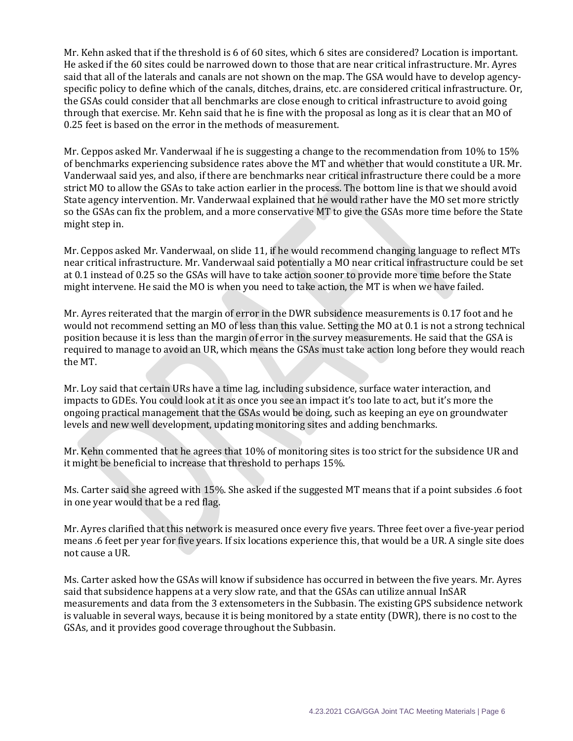Mr. Kehn asked that if the threshold is 6 of 60 sites, which 6 sites are considered? Location is important. He asked if the 60 sites could be narrowed down to those that are near critical infrastructure. Mr. Ayres said that all of the laterals and canals are not shown on the map. The GSA would have to develop agencyspecific policy to define which of the canals, ditches, drains, etc. are considered critical infrastructure. Or, the GSAs could consider that all benchmarks are close enough to critical infrastructure to avoid going through that exercise. Mr. Kehn said that he is fine with the proposal as long as it is clear that an MO of 0.25 feet is based on the error in the methods of measurement.

Mr. Ceppos asked Mr. Vanderwaal if he is suggesting a change to the recommendation from 10% to 15% of benchmarks experiencing subsidence rates above the MT and whether that would constitute a UR. Mr. Vanderwaal said yes, and also, if there are benchmarks near critical infrastructure there could be a more strict MO to allow the GSAs to take action earlier in the process. The bottom line is that we should avoid State agency intervention. Mr. Vanderwaal explained that he would rather have the MO set more strictly so the GSAs can fix the problem, and a more conservative MT to give the GSAs more time before the State might step in.

Mr. Ceppos asked Mr. Vanderwaal, on slide 11, if he would recommend changing language to reflect MTs near critical infrastructure. Mr. Vanderwaal said potentially a MO near critical infrastructure could be set at 0.1 instead of 0.25 so the GSAs will have to take action sooner to provide more time before the State might intervene. He said the MO is when you need to take action, the MT is when we have failed.

Mr. Ayres reiterated that the margin of error in the DWR subsidence measurements is 0.17 foot and he would not recommend setting an MO of less than this value. Setting the MO at 0.1 is not a strong technical position because it is less than the margin of error in the survey measurements. He said that the GSA is required to manage to avoid an UR, which means the GSAs must take action long before they would reach the MT.

Mr. Loy said that certain URs have a time lag, including subsidence, surface water interaction, and impacts to GDEs. You could look at it as once you see an impact it's too late to act, but it's more the ongoing practical management that the GSAs would be doing, such as keeping an eye on groundwater levels and new well development, updating monitoring sites and adding benchmarks.

Mr. Kehn commented that he agrees that 10% of monitoring sites is too strict for the subsidence UR and it might be beneficial to increase that threshold to perhaps 15%.

Ms. Carter said she agreed with 15%. She asked if the suggested MT means that if a point subsides .6 foot in one year would that be a red flag.

Mr. Ayres clarified that this network is measured once every five years. Three feet over a five-year period means .6 feet per year for five years. If six locations experience this, that would be a UR. A single site does not cause a UR.

Ms. Carter asked how the GSAs will know if subsidence has occurred in between the five years. Mr. Ayres said that subsidence happens at a very slow rate, and that the GSAs can utilize annual InSAR measurements and data from the 3 extensometers in the Subbasin. The existing GPS subsidence network is valuable in several ways, because it is being monitored by a state entity (DWR), there is no cost to the GSAs, and it provides good coverage throughout the Subbasin.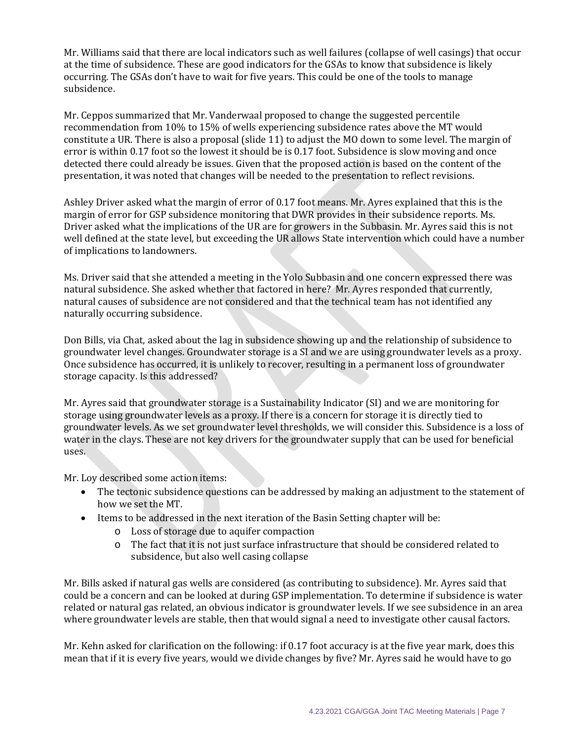Mr. Williams said that there are local indicators such as well failures (collapse of well casings) that occur at the time of subsidence. These are good indicators for the GSAs to know that subsidence is likely occurring. The GSAs don't have to wait for five years. This could be one of the tools to manage subsidence.

Mr. Ceppos summarized that Mr. Vanderwaal proposed to change the suggested percentile recommendation from 10% to 15% of wells experiencing subsidence rates above the MT would constitute a UR. There is also a proposal (slide 11) to adjust the MO down to some level. The margin of error is within 0.17 foot so the lowest it should be is 0.17 foot. Subsidence is slow moving and once detected there could already be issues. Given that the proposed action is based on the content of the presentation, it was noted that changes will be needed to the presentation to reflect revisions.

Ashley Driver asked what the margin of error of 0.17 foot means. Mr. Ayres explained that this is the margin of error for GSP subsidence monitoring that DWR provides in their subsidence reports. Ms. Driver asked what the implications of the UR are for growers in the Subbasin. Mr. Ayres said this is not well defined at the state level, but exceeding the UR allows State intervention which could have a number of implications to landowners.

Ms. Driver said that she attended a meeting in the Yolo Subbasin and one concern expressed there was natural subsidence. She asked whether that factored in here? Mr. Ayres responded that currently, natural causes of subsidence are not considered and that the technical team has not identified any naturally occurring subsidence.

Don Bills, via Chat, asked about the lag in subsidence showing up and the relationship of subsidence to groundwater level changes. Groundwater storage is a SI and we are using groundwater levels as a proxy. Once subsidence has occurred, it is unlikely to recover, resulting in a permanent loss of groundwater storage capacity. Is this addressed?

Mr. Ayres said that groundwater storage is a Sustainability Indicator (SI) and we are monitoring for storage using groundwater levels as a proxy. If there is a concern for storage it is directly tied to groundwater levels. As we set groundwater level thresholds, we will consider this. Subsidence is a loss of water in the clays. These are not key drivers for the groundwater supply that can be used for beneficial uses.

Mr. Loy described some action items:

- The tectonic subsidence questions can be addressed by making an adjustment to the statement of how we set the MT.
- Items to be addressed in the next iteration of the Basin Setting chapter will be:
	- o Loss of storage due to aquifer compaction
	- o The fact that it is not just surface infrastructure that should be considered related to subsidence, but also well casing collapse

Mr. Bills asked if natural gas wells are considered (as contributing to subsidence). Mr. Ayres said that could be a concern and can be looked at during GSP implementation. To determine if subsidence is water related or natural gas related, an obvious indicator is groundwater levels. If we see subsidence in an area where groundwater levels are stable, then that would signal a need to investigate other causal factors.

Mr. Kehn asked for clarification on the following: if 0.17 foot accuracy is at the five year mark, does this mean that if it is every five years, would we divide changes by five? Mr. Ayres said he would have to go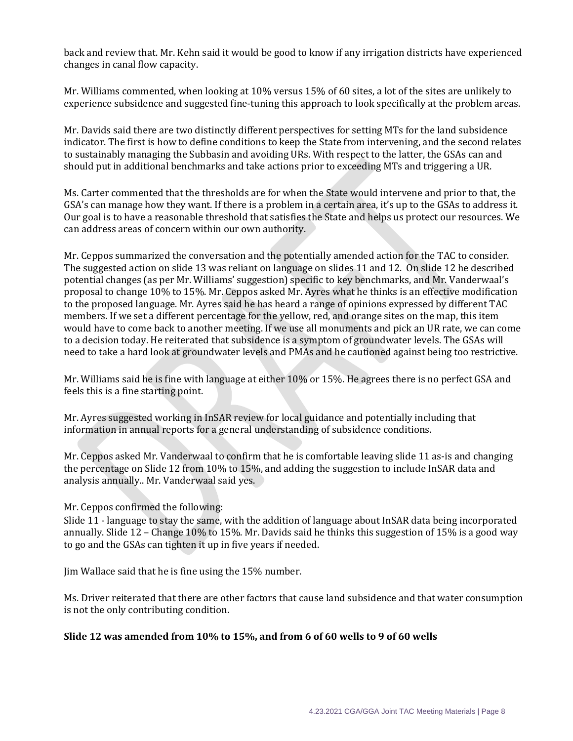back and review that. Mr. Kehn said it would be good to know if any irrigation districts have experienced changes in canal flow capacity.

Mr. Williams commented, when looking at 10% versus 15% of 60 sites, a lot of the sites are unlikely to experience subsidence and suggested fine-tuning this approach to look specifically at the problem areas.

Mr. Davids said there are two distinctly different perspectives for setting MTs for the land subsidence indicator. The first is how to define conditions to keep the State from intervening, and the second relates to sustainably managing the Subbasin and avoiding URs. With respect to the latter, the GSAs can and should put in additional benchmarks and take actions prior to exceeding MTs and triggering a UR.

Ms. Carter commented that the thresholds are for when the State would intervene and prior to that, the GSA's can manage how they want. If there is a problem in a certain area, it's up to the GSAs to address it. Our goal is to have a reasonable threshold that satisfies the State and helps us protect our resources. We can address areas of concern within our own authority.

Mr. Ceppos summarized the conversation and the potentially amended action for the TAC to consider. The suggested action on slide 13 was reliant on language on slides 11 and 12. On slide 12 he described potential changes (as per Mr. Williams' suggestion) specific to key benchmarks, and Mr. Vanderwaal's proposal to change 10% to 15%. Mr. Ceppos asked Mr. Ayres what he thinks is an effective modification to the proposed language. Mr. Ayres said he has heard a range of opinions expressed by different TAC members. If we set a different percentage for the yellow, red, and orange sites on the map, this item would have to come back to another meeting. If we use all monuments and pick an UR rate, we can come to a decision today. He reiterated that subsidence is a symptom of groundwater levels. The GSAs will need to take a hard look at groundwater levels and PMAs and he cautioned against being too restrictive.

Mr. Williams said he is fine with language at either 10% or 15%. He agrees there is no perfect GSA and feels this is a fine starting point.

Mr. Ayres suggested working in InSAR review for local guidance and potentially including that information in annual reports for a general understanding of subsidence conditions.

Mr. Ceppos asked Mr. Vanderwaal to confirm that he is comfortable leaving slide 11 as-is and changing the percentage on Slide 12 from 10% to 15%, and adding the suggestion to include InSAR data and analysis annually.. Mr. Vanderwaal said yes.

Mr. Ceppos confirmed the following:

Slide 11 - language to stay the same, with the addition of language about InSAR data being incorporated annually. Slide 12 – Change 10% to 15%. Mr. Davids said he thinks this suggestion of 15% is a good way to go and the GSAs can tighten it up in five years if needed.

Jim Wallace said that he is fine using the 15% number.

Ms. Driver reiterated that there are other factors that cause land subsidence and that water consumption is not the only contributing condition.

#### **Slide 12 was amended from 10% to 15%, and from 6 of 60 wells to 9 of 60 wells**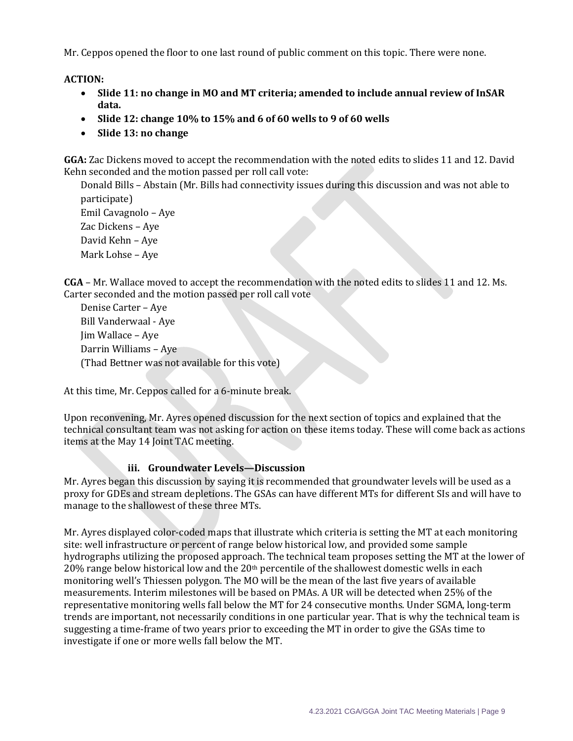Mr. Ceppos opened the floor to one last round of public comment on this topic. There were none.

**ACTION:** 

- **Slide 11: no change in MO and MT criteria; amended to include annual review of InSAR data.**
- **Slide 12: change 10% to 15% and 6 of 60 wells to 9 of 60 wells**
- **Slide 13: no change**

**GGA:** Zac Dickens moved to accept the recommendation with the noted edits to slides 11 and 12. David Kehn seconded and the motion passed per roll call vote:

Donald Bills – Abstain (Mr. Bills had connectivity issues during this discussion and was not able to participate) Emil Cavagnolo – Aye Zac Dickens – Aye David Kehn – Aye Mark Lohse – Aye

**CGA** – Mr. Wallace moved to accept the recommendation with the noted edits to slides 11 and 12. Ms. Carter seconded and the motion passed per roll call vote

Denise Carter – Aye Bill Vanderwaal - Aye Jim Wallace – Aye Darrin Williams – Aye (Thad Bettner was not available for this vote)

At this time, Mr. Ceppos called for a 6-minute break.

Upon reconvening, Mr. Ayres opened discussion for the next section of topics and explained that the technical consultant team was not asking for action on these items today. These will come back as actions items at the May 14 Joint TAC meeting.

## **iii. Groundwater Levels—Discussion**

Mr. Ayres began this discussion by saying it is recommended that groundwater levels will be used as a proxy for GDEs and stream depletions. The GSAs can have different MTs for different SIs and will have to manage to the shallowest of these three MTs.

Mr. Ayres displayed color-coded maps that illustrate which criteria is setting the MT at each monitoring site: well infrastructure or percent of range below historical low, and provided some sample hydrographs utilizing the proposed approach. The technical team proposes setting the MT at the lower of 20% range below historical low and the 20<sup>th</sup> percentile of the shallowest domestic wells in each monitoring well's Thiessen polygon. The MO will be the mean of the last five years of available measurements. Interim milestones will be based on PMAs. A UR will be detected when 25% of the representative monitoring wells fall below the MT for 24 consecutive months. Under SGMA, long-term trends are important, not necessarily conditions in one particular year. That is why the technical team is suggesting a time-frame of two years prior to exceeding the MT in order to give the GSAs time to investigate if one or more wells fall below the MT.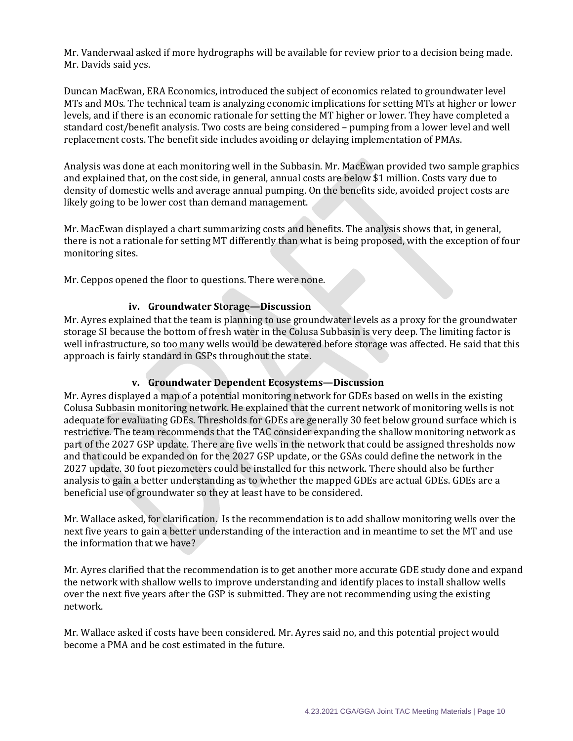Mr. Vanderwaal asked if more hydrographs will be available for review prior to a decision being made. Mr. Davids said yes.

Duncan MacEwan, ERA Economics, introduced the subject of economics related to groundwater level MTs and MOs. The technical team is analyzing economic implications for setting MTs at higher or lower levels, and if there is an economic rationale for setting the MT higher or lower. They have completed a standard cost/benefit analysis. Two costs are being considered – pumping from a lower level and well replacement costs. The benefit side includes avoiding or delaying implementation of PMAs.

Analysis was done at each monitoring well in the Subbasin. Mr. MacEwan provided two sample graphics and explained that, on the cost side, in general, annual costs are below \$1 million. Costs vary due to density of domestic wells and average annual pumping. On the benefits side, avoided project costs are likely going to be lower cost than demand management.

Mr. MacEwan displayed a chart summarizing costs and benefits. The analysis shows that, in general, there is not a rationale for setting MT differently than what is being proposed, with the exception of four monitoring sites.

Mr. Ceppos opened the floor to questions. There were none.

#### **iv. Groundwater Storage—Discussion**

Mr. Ayres explained that the team is planning to use groundwater levels as a proxy for the groundwater storage SI because the bottom of fresh water in the Colusa Subbasin is very deep. The limiting factor is well infrastructure, so too many wells would be dewatered before storage was affected. He said that this approach is fairly standard in GSPs throughout the state.

## **v. Groundwater Dependent Ecosystems—Discussion**

Mr. Ayres displayed a map of a potential monitoring network for GDEs based on wells in the existing Colusa Subbasin monitoring network. He explained that the current network of monitoring wells is not adequate for evaluating GDEs. Thresholds for GDEs are generally 30 feet below ground surface which is restrictive. The team recommends that the TAC consider expanding the shallow monitoring network as part of the 2027 GSP update. There are five wells in the network that could be assigned thresholds now and that could be expanded on for the 2027 GSP update, or the GSAs could define the network in the 2027 update. 30 foot piezometers could be installed for this network. There should also be further analysis to gain a better understanding as to whether the mapped GDEs are actual GDEs. GDEs are a beneficial use of groundwater so they at least have to be considered.

Mr. Wallace asked, for clarification. Is the recommendation is to add shallow monitoring wells over the next five years to gain a better understanding of the interaction and in meantime to set the MT and use the information that we have?

Mr. Ayres clarified that the recommendation is to get another more accurate GDE study done and expand the network with shallow wells to improve understanding and identify places to install shallow wells over the next five years after the GSP is submitted. They are not recommending using the existing network.

Mr. Wallace asked if costs have been considered. Mr. Ayres said no, and this potential project would become a PMA and be cost estimated in the future.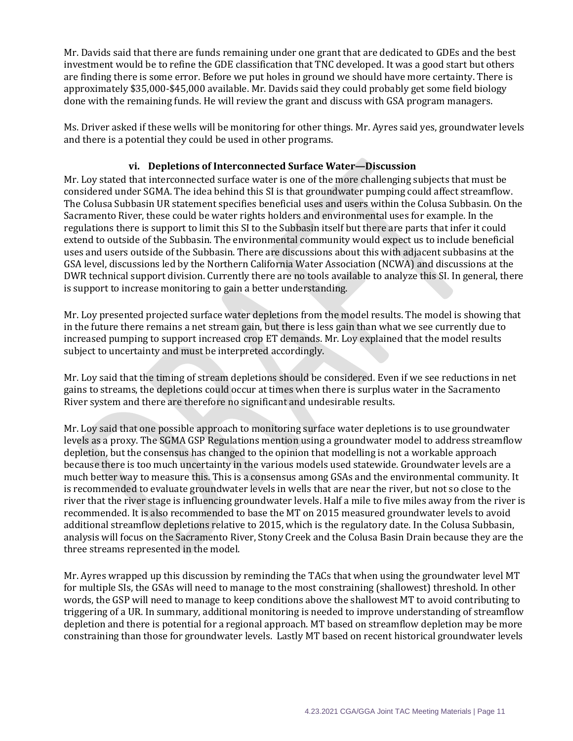Mr. Davids said that there are funds remaining under one grant that are dedicated to GDEs and the best investment would be to refine the GDE classification that TNC developed. It was a good start but others are finding there is some error. Before we put holes in ground we should have more certainty. There is approximately \$35,000-\$45,000 available. Mr. Davids said they could probably get some field biology done with the remaining funds. He will review the grant and discuss with GSA program managers.

Ms. Driver asked if these wells will be monitoring for other things. Mr. Ayres said yes, groundwater levels and there is a potential they could be used in other programs.

## **vi. Depletions of Interconnected Surface Water—Discussion**

Mr. Loy stated that interconnected surface water is one of the more challenging subjects that must be considered under SGMA. The idea behind this SI is that groundwater pumping could affect streamflow. The Colusa Subbasin UR statement specifies beneficial uses and users within the Colusa Subbasin. On the Sacramento River, these could be water rights holders and environmental uses for example. In the regulations there is support to limit this SI to the Subbasin itself but there are parts that infer it could extend to outside of the Subbasin. The environmental community would expect us to include beneficial uses and users outside of the Subbasin. There are discussions about this with adjacent subbasins at the GSA level, discussions led by the Northern California Water Association (NCWA) and discussions at the DWR technical support division. Currently there are no tools available to analyze this SI. In general, there is support to increase monitoring to gain a better understanding.

Mr. Loy presented projected surface water depletions from the model results. The model is showing that in the future there remains a net stream gain, but there is less gain than what we see currently due to increased pumping to support increased crop ET demands. Mr. Loy explained that the model results subject to uncertainty and must be interpreted accordingly.

Mr. Loy said that the timing of stream depletions should be considered. Even if we see reductions in net gains to streams, the depletions could occur at times when there is surplus water in the Sacramento River system and there are therefore no significant and undesirable results.

Mr. Loy said that one possible approach to monitoring surface water depletions is to use groundwater levels as a proxy. The SGMA GSP Regulations mention using a groundwater model to address streamflow depletion, but the consensus has changed to the opinion that modelling is not a workable approach because there is too much uncertainty in the various models used statewide. Groundwater levels are a much better way to measure this. This is a consensus among GSAs and the environmental community. It is recommended to evaluate groundwater levels in wells that are near the river, but not so close to the river that the river stage is influencing groundwater levels. Half a mile to five miles away from the river is recommended. It is also recommended to base the MT on 2015 measured groundwater levels to avoid additional streamflow depletions relative to 2015, which is the regulatory date. In the Colusa Subbasin, analysis will focus on the Sacramento River, Stony Creek and the Colusa Basin Drain because they are the three streams represented in the model.

Mr. Ayres wrapped up this discussion by reminding the TACs that when using the groundwater level MT for multiple SIs, the GSAs will need to manage to the most constraining (shallowest) threshold. In other words, the GSP will need to manage to keep conditions above the shallowest MT to avoid contributing to triggering of a UR. In summary, additional monitoring is needed to improve understanding of streamflow depletion and there is potential for a regional approach. MT based on streamflow depletion may be more constraining than those for groundwater levels. Lastly MT based on recent historical groundwater levels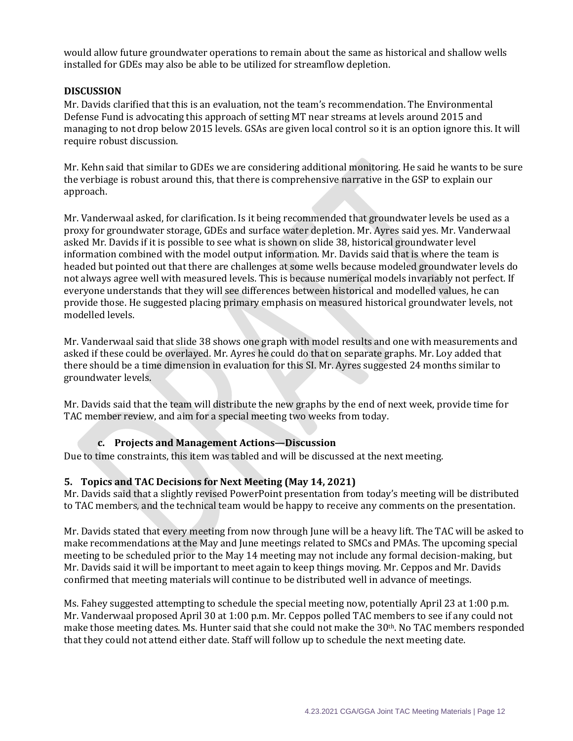would allow future groundwater operations to remain about the same as historical and shallow wells installed for GDEs may also be able to be utilized for streamflow depletion.

#### **DISCUSSION**

Mr. Davids clarified that this is an evaluation, not the team's recommendation. The Environmental Defense Fund is advocating this approach of setting MT near streams at levels around 2015 and managing to not drop below 2015 levels. GSAs are given local control so it is an option ignore this. It will require robust discussion.

Mr. Kehn said that similar to GDEs we are considering additional monitoring. He said he wants to be sure the verbiage is robust around this, that there is comprehensive narrative in the GSP to explain our approach.

Mr. Vanderwaal asked, for clarification. Is it being recommended that groundwater levels be used as a proxy for groundwater storage, GDEs and surface water depletion. Mr. Ayres said yes. Mr. Vanderwaal asked Mr. Davids if it is possible to see what is shown on slide 38, historical groundwater level information combined with the model output information. Mr. Davids said that is where the team is headed but pointed out that there are challenges at some wells because modeled groundwater levels do not always agree well with measured levels. This is because numerical models invariably not perfect. If everyone understands that they will see differences between historical and modelled values, he can provide those. He suggested placing primary emphasis on measured historical groundwater levels, not modelled levels.

Mr. Vanderwaal said that slide 38 shows one graph with model results and one with measurements and asked if these could be overlayed. Mr. Ayres he could do that on separate graphs. Mr. Loy added that there should be a time dimension in evaluation for this SI. Mr. Ayres suggested 24 months similar to groundwater levels.

Mr. Davids said that the team will distribute the new graphs by the end of next week, provide time for TAC member review, and aim for a special meeting two weeks from today.

## **c. Projects and Management Actions—Discussion**

Due to time constraints, this item was tabled and will be discussed at the next meeting.

## **5. Topics and TAC Decisions for Next Meeting (May 14, 2021)**

Mr. Davids said that a slightly revised PowerPoint presentation from today's meeting will be distributed to TAC members, and the technical team would be happy to receive any comments on the presentation.

Mr. Davids stated that every meeting from now through June will be a heavy lift. The TAC will be asked to make recommendations at the May and June meetings related to SMCs and PMAs. The upcoming special meeting to be scheduled prior to the May 14 meeting may not include any formal decision-making, but Mr. Davids said it will be important to meet again to keep things moving. Mr. Ceppos and Mr. Davids confirmed that meeting materials will continue to be distributed well in advance of meetings.

Ms. Fahey suggested attempting to schedule the special meeting now, potentially April 23 at 1:00 p.m. Mr. Vanderwaal proposed April 30 at 1:00 p.m. Mr. Ceppos polled TAC members to see if any could not make those meeting dates. Ms. Hunter said that she could not make the 30<sup>th</sup>. No TAC members responded that they could not attend either date. Staff will follow up to schedule the next meeting date.